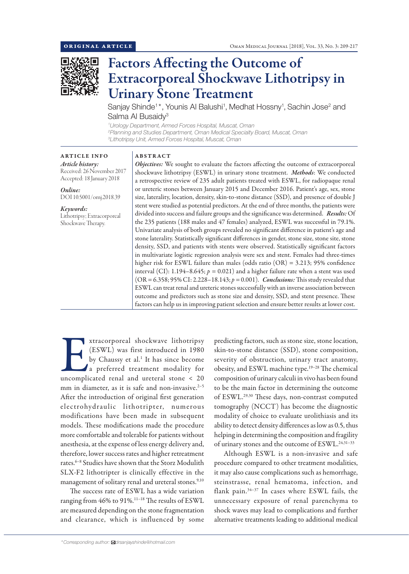

# Factors Affecting the Outcome of Extracorporeal Shockwave Lithotripsy in Urinary Stone Treatment

Sanjay Shinde<sup>1\*</sup>, Younis Al Balushi<sup>1</sup>, Medhat Hossny<sup>1</sup>, Sachin Jose<sup>2</sup> and Salma Al Busaid $v^3$ 

*1 Urology Department, Armed Forces Hospital, Muscat, Oman 2 Planning and Studies Department, Oman Medical Specialty Board, Muscat, Oman 3 Lithotripsy Unit, Armed Forces Hospital, Muscat, Oman*

## ARTICLE INFO

*Article history:* Received: 26 November 2017 Accepted: 18 January 2018

*Online:* DOI 10.5001/omj.2018.39

*Keywords:*  Lithotripsy; Extracorporeal Shockwave Therapy.

#### ABSTRACT

*Objectives:* We sought to evaluate the factors affecting the outcome of extracorporeal shockwave lithotripsy (ESWL) in urinary stone treatment. *Methods*: We conducted a retrospective review of 235 adult patients treated with ESWL, for radiopaque renal or ureteric stones between January 2015 and December 2016. Patient's age, sex, stone size, laterality, location, density, skin-to-stone distance (SSD), and presence of double J stent were studied as potential predictors. At the end of three months, the patients were divided into success and failure groups and the significance was determined. *Results:* Of the 235 patients (188 males and 47 females) analyzed, ESWL was successful in 79.1%. Univariate analysis of both groups revealed no significant difference in patient's age and stone laterality. Statistically significant differences in gender, stone size, stone site, stone density, SSD, and patients with stents were observed. Statistically significant factors in multivariate logistic regression analysis were sex and stent. Females had three-times higher risk for ESWL failure than males (odds ratio (OR) = 3.213; 95% confidence interval (CI):  $1.194-8.645$ ;  $p = 0.021$ ) and a higher failure rate when a stent was used (OR = 6.358; 95% CI: 2.228–18.143; *p =* 0.001). *Conclusions:* This study revealed that ESWL can treat renal and ureteric stones successfully with an inverse association between outcome and predictors such as stone size and density, SSD, and stent presence. These factors can help us in improving patient selection and ensure better results at lower cost.

Xtracorporeal shockwave lithotripsy<br>
(ESWL) was first introduced in 1980<br>
by Chaussy et al.<sup>1</sup> It has since become<br>
a preferred treatment modality for<br>
uncomplicated renal and ureteral stone < 20 (ESWL) was first introduced in 1980 by Chaussy et al.<sup>1</sup> It has since become a preferred treatment modality for mm in diameter, as it is safe and non-invasive.<sup>2-5</sup> After the introduction of original first generation ele ctrohydraulic lithotripter, numerous modifications have been made in subsequent models. These modifications made the procedure more comfortable and tolerable for patients without anesthesia, at the expense of less energy delivery and, therefore, lower success rates and higher retreatment rates.6–8 Studies have shown that the Storz Modulith SLX-F2 lithotripter is clinically effective in the management of solitary renal and ureteral stones.<sup>9,10</sup>

The success rate of ESWL has a wide variation ranging from 46% to 91%.11–18 The results of ESWL are measured depending on the stone fragmentation and clearance, which is influenced by some predicting factors, such as stone size, stone location, skin-to-stone distance (SSD), stone composition, severity of obstruction, urinary tract anatomy, obesity, and ESWL machine type.19–28 The chemical composition of urinary calculi in vivo has been found to be the main factor in determining the outcome of ESWL.29,30 These days, non-contrast computed tomography (NCCT) has become the diagnostic modality of choice to evaluate urolithiasis and its ability to detect density differences as low as 0.5, thus helping in determining the composition and fragility of urinary stones and the outcome of ESWL.<sup>24,31-33</sup>

Although ESWL is a non-invasive and safe procedure compared to other treatment modalities, it may also cause complications such as hemorrhage, steinstrasse, renal hematoma, infection, and flank pain.34–37 In cases where ESWL fails, the unnecessary exposure of renal parenchyma to shock waves may lead to complications and further alternative treatments leading to additional medical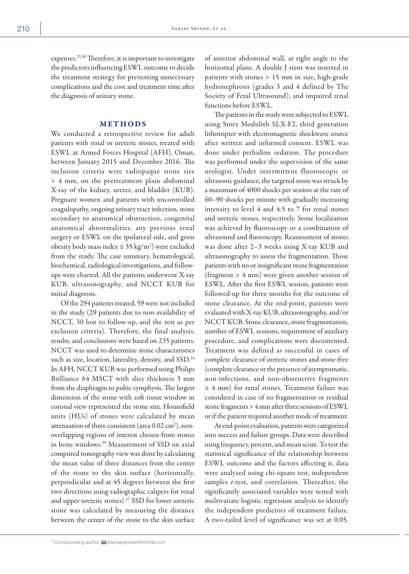expenses.25,38 Therefore, it is important to investigate the predictors influencing ESWL outcome to decide the treatment strategy for preventing unnecessary complications and the cost and treatment time after the diagnosis of urinary stone.

## METHODS

We conducted a retrospective review for adult patients with renal or ureteric stones, treated with ESWL at Armed Forces Hospital (AFH), Oman, between January 2015 and December 2016. The inclusion criteria were radiopaque stone size > 4 mm, on the pretreatment plain abdominal X-ray of the kidney, ureter, and bladder (KUB). Pregnant women and patients with uncontrolled coagulopathy, ongoing urinary tract infection, stone secondary to anatomical obstruction, congenital anatomical abnormalities, any previous renal surgery or ESWL on the ipsilateral side, and gross obesity body mass index ≥ 35 kg/m<sup>2</sup>) were excluded from the study. The case summary, hematological, biochemical, radiological investigations, and followups were charted. All the patients underwent X-ray KUB, ultrasonography, and NCCT KUB for initial diagnosis.

Of the 294 patients treated, 59 were not included in the study (29 patients due to non-availability of NCCT, 30 lost to follow-up, and the rest as per exclusion criteria). Therefore, the final analysis, results, and conclusions were based on 235 patients. NCCT was used to determine stone characteristics such as size, location, laterality, density, and SSD.<sup>24</sup> In AFH, NCCT KUB was performed using Philips Brilliance 64 MSCT with slice thickness 3 mm from the diaphragm to pubic symphysis. The largest dimension of the stone with soft tissue window in coronal view represented the stone size. Hounsfield units (HUs) of stones were calculated by mean attenuation of three consistent (area  $0.02 \text{ cm}^2$ ), nonoverlapping regions of interest chosen from stones in bone windows.39 Measurement of SSD on axial computed tomography view was done by calculating the mean value of three distances from the center of the stone to the skin surface (horizontally, perpendicular and at 45 degrees between the first two directions using radiographic calipers for renal and upper ureteric stones).<sup>17</sup> SSD for lower ureteric stone was calculated by measuring the distance between the center of the stone to the skin surface

of anterior abdominal wall, at right angle to the horizontal plane. A double J stent was inserted in patients with stones > 15 mm in size, high-grade hydronephrosis (grades 3 and 4 defined by The Society of Fetal Ultrasound), and impaired renal functions before ESWL.

The patients in the study were subjected to ESWL using Storz Modulith SLX-F2, third generation lithotripter with electromagnetic shockwave source after written and informed consent. ESWL was done under pethidine sedation. The procedure was performed under the supervision of the same urologist. Under intermittent fluoroscopic or ultrasonic guidance, the targeted stone was struck by a maximum of 4000 shocks per session at the rate of 60–90 shocks per minute with gradually increasing intensity to level 4 and 4.5 to 7 for renal stones and ureteric stones, respectively. Stone localization was achieved by fluoroscopy or a combination of ultrasound and fluoroscopy. Reassessment of stones was done after 2–3 weeks using X-ray KUB and ultrasonography to assess the fragmentation. Those patients with no or insignificant stone fragmentation (fragment > 4 mm) were given another session of ESWL. After the first ESWL session, patients were followed-up for three months for the outcome of stone clearance. At the end-point, patients were evaluated with X-ray KUB, ultrasonography, and/or NCCT KUB. Stone clearance, stone fragmentation, number of ESWL sessions, requirement of auxiliary procedure, and complications were documented. Treatment was defined as successful in cases of complete clearance of ureteric stones and stone-free (complete clearance or the presence of asymptomatic, non-infectious, and non-obstructive fragments  $\leq$  4 mm) for renal stones. Treatment failure was considered in case of no fragmentation or residual stone fragments > 4 mm after three sessions of ESWL or if the patient required another mode of treatment.

At end-point evaluation, patients were categorized into success and failure groups. Data were described using frequency, percent, and mean score. To test the statistical significance of the relationship between ESWL outcome and the factors affecting it, data were analyzed using chi-square test, independent samples *t*-test, and correlation. Thereafter, the significantly associated variables were tested with multivariate logistic regression analysis to identify the independent predictors of treatment failure. A two-tailed level of significance was set at 0.05.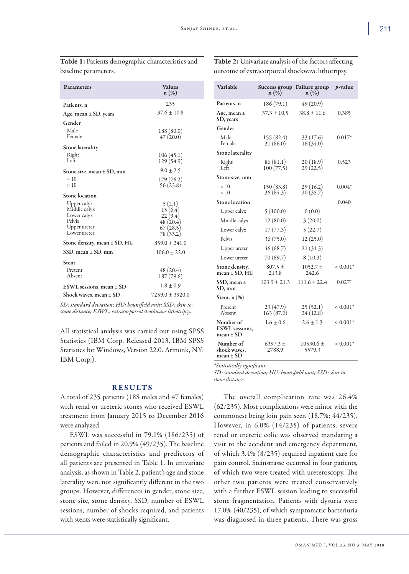| dascune parameters.              |                          |  |  |
|----------------------------------|--------------------------|--|--|
| Parameters                       | <b>Values</b><br>$n(\%)$ |  |  |
| Patients, n                      | 235                      |  |  |
| Age, mean $\pm$ SD, years        | $37.6 \pm 10.8$          |  |  |
| Gender                           |                          |  |  |
| Male                             | 188 (80.0)               |  |  |
| Female                           | 47(20.0)                 |  |  |
| <b>Stone laterality</b>          |                          |  |  |
| Right                            | 106(45.1)                |  |  |
| Left                             | 129 (54.9)               |  |  |
| Stone size, mean $\pm$ SD, mm    | $9.0 \pm 2.5$            |  |  |
| < 10                             | 179 (76.2)               |  |  |
| >10                              | 56(23.8)                 |  |  |
| <b>Stone location</b>            |                          |  |  |
| Upper calyx                      | 5(2.1)                   |  |  |
| Middle calyx                     | 15 (6.4)                 |  |  |
| Lower calyx<br>Pelvis            | 22(9.4)<br>48 (20.4)     |  |  |
| Upper ureter                     | 67(28.5)                 |  |  |
| Lower ureter                     | 78 (33.2)                |  |  |
| Stone density, mean $\pm$ SD, HU | $859.0 \pm 241.0$        |  |  |
| $SSD$ , mean $\pm SD$ , mm       | $106.0 \pm 22.0$         |  |  |
| Stent                            |                          |  |  |
| Present                          | 48 (20.4)                |  |  |
| Absent                           | 187 (79.6)               |  |  |
| ESWL sessions, mean $\pm$ SD     | $1.8 + 0.9$              |  |  |
| Shock waves, mean ± SD           | $7259.0 \pm 3920.0$      |  |  |

Table 1: Patients demographic characteristics and baseline parameters.

Table 2: Univariate analysis of the factors affecting outcome of extracorporeal shockwave lithotripsy.

| Variable                                        | Success group Failure group<br>$n(\%)$ | $n(\%)$                 | <i>p</i> -value |
|-------------------------------------------------|----------------------------------------|-------------------------|-----------------|
| Patients, n                                     | 186 (79.1)                             | 49 (20.9)               |                 |
| Age, mean $\pm$<br>SD, years                    | $37.3 \pm 10.5$                        | $38.8 \pm 11.6$         | 0.385           |
| Gender                                          |                                        |                         |                 |
| Male<br>Female                                  | 155 (82.4)<br>31(66.0)                 | 33(17.6)<br>16(34.0)    | $0.017*$        |
| <b>Stone laterality</b>                         |                                        |                         |                 |
| Right<br>Left                                   | 86 (81.1)<br>100(77.5)                 | 20(18.9)<br>29(22.5)    | 0.523           |
| Stone size, mm                                  |                                        |                         |                 |
| ~10<br>>10                                      | 150 (83.8)<br>36(64.3)                 | 29(16.2)<br>20(35.7)    | $0.004*$        |
| <b>Stone location</b>                           |                                        |                         | 0.040           |
| Upper calyx                                     | 5(100.0)                               | 0(0.0)                  |                 |
| Middle calyx                                    | 12(80.0)                               | 3(20.0)                 |                 |
| Lower calyx                                     | 17(77.3)                               | 5(22.7)                 |                 |
| Pelvis                                          | 36(75.0)                               | 12(25.0)                |                 |
| Upper ureter                                    | 46(68.7)                               | 21(31.3)                |                 |
| Lower ureter                                    | 70 (89.7)                              | 8(10.3)                 |                 |
| Stone density,<br>$mean \pm SD$ , HU            | $807.5 \pm$<br>213.8                   | $1052.7 \pm$<br>242.6   | $< 0.001*$      |
| SSD, mean $\pm$<br>SD, mm                       | $103.9 \pm 21.3$                       | $111.6 + 22.4$          | $0.027*$        |
| Stent, $n$ $(\%)$                               |                                        |                         |                 |
| Present<br>Absent                               | 23(47.9)<br>163(87.2)                  | 25(52.1)<br>24(12.8)    | $< 0.001*$      |
| Number of<br><b>ESWL</b> sessions,<br>mean ± SD | $1.6 + 0.6$                            | $2.6 \pm 1.3$           | $< 0.001*$      |
| Number of<br>shock waves,<br>$\ldots$           | $6397.3 \pm$<br>2788.9                 | $10530.6 \pm$<br>5579.3 | $< 0.001*$      |

mean  $\pm$  SD

*\*Statistically significant.* 

*SD: standard deviation; HU: hounsfield unit; SSD: skin-tostone distance.*

The overall complication rate was 26.4% (62/235). Most complications were minor with the commonest being loin pain seen (18.7%; 44/235). However, in 6.0% (14/235) of patients, severe renal or ureteric colic was observed mandating a visit to the accident and emergency department, of which 3.4% (8/235) required inpatient care for pain control. Steinstrasse occurred in four patients, of which two were treated with ureteroscopy. The other two patients were treated conservatively with a further ESWL session leading to successful stone fragmentation. Patients with dysuria were 17.0% (40/235), of which symptomatic bacteriuria was diagnosed in three patients. There was gross

*stone distance; ESWL: extracorporeal shockwave lithotripsy.*

*SD: standard deviation; HU: hounsfield unit; SSD: skin-to-*

All statistical analysis was carried out using SPSS Statistics (IBM Corp. Released 2013. IBM SPSS Statistics for Windows, Version 22.0. Armonk, NY: IBM Corp.).

## RESULTS

A total of 235 patients (188 males and 47 females) with renal or ureteric stones who received ESWL treatment from January 2015 to December 2016 were analyzed.

ESWL was successful in 79.1% (186/235) of patients and failed in 20.9% (49/235). The baseline demographic characteristics and predictors of all patients are presented in Table 1. In univariate analysis, as shown in Table 2, patient's age and stone laterality were not significantly different in the two groups. However, differences in gender, stone size, stone site, stone density, SSD, number of ESWL sessions, number of shocks required, and patients with stents were statistically significant.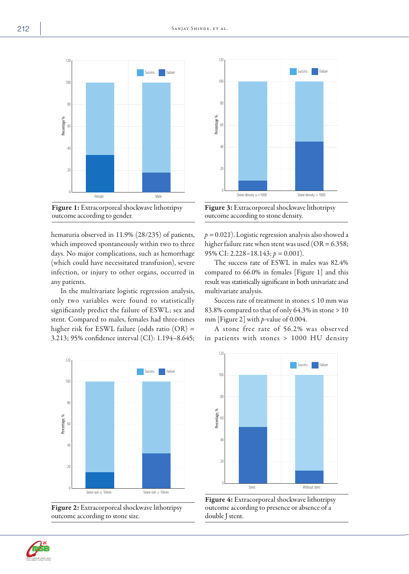

Figure 1: Extracorporeal shockwave lithotripsy outcome according to gender.

hematuria observed in 11.9% (28/235) of patients, which improved spontaneously within two to three days. No major complications, such as hemorrhage (which could have necessitated transfusion), severe infection, or injury to other organs, occurred in any patients.

In the multivariate logistic regression analysis, only two variables were found to statistically significantly predict the failure of ESWL; sex and stent. Compared to males, females had three-times higher risk for ESWL failure (odds ratio (OR) = 3.213; 95% confidence interval (CI): 1.194–8.645;



Figure 2: Extracorporeal shockwave lithotripsy outcome according to stone size.



Figure 3: Extracorporeal shockwave lithotripsy outcome according to stone density.

*p =* 0.021). Logistic regression analysis also showed a higher failure rate when stent was used (OR = 6.358; 95% CI: 2.228–18.143; *p =* 0.001).

The success rate of ESWL in males was 82.4% compared to 66.0% in females [Figure 1] and this result was statistically significant in both univariate and multivariate analysis.

Success rate of treatment in stones  $\leq 10$  mm was 83.8% compared to that of only 64.3% in stone > 10 mm [Figure 2] with *p*-value of 0.004.

A stone free rate of 56.2% was observed in patients with stones > 1000 HU density





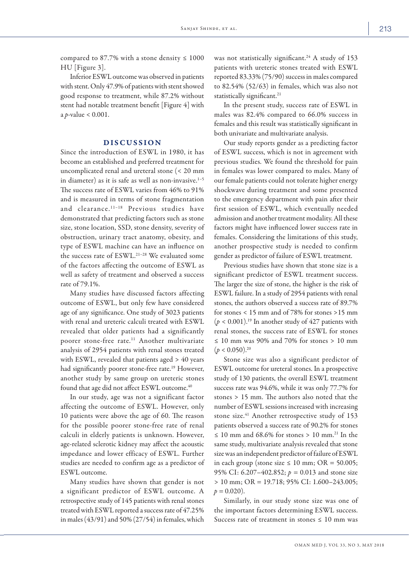compared to 87.7% with a stone density  $\leq 1000$ HU [Figure 3].

Inferior ESWL outcome was observed in patients with stent. Only 47.9% of patients with stent showed good response to treatment, while 87.2% without stent had notable treatment benefit [Figure 4] with a *p*-value < 0.001.

## DISCUSSION

Since the introduction of ESWL in 1980, it has become an established and preferred treatment for uncomplicated renal and ureteral stone (< 20 mm in diameter) as it is safe as well as non-invasive. $1-5$ The success rate of ESWL varies from 46% to 91% and is measured in terms of stone fragmentation and clearance. 11–18 Previous studies have demonstrated that predicting factors such as stone size, stone location, SSD, stone density, severity of obstruction, urinary tract anatomy, obesity, and type of ESWL machine can have an influence on the success rate of ESWL.21–28 We evaluated some of the factors affecting the outcome of ESWL as well as safety of treatment and observed a success rate of 79.1%.

Many studies have discussed factors affecting outcome of ESWL, but only few have considered age of any significance. One study of 3023 patients with renal and ureteric calculi treated with ESWL revealed that older patients had a significantly poorer stone-free rate.<sup>11</sup> Another multivariate analysis of 2954 patients with renal stones treated with ESWL, revealed that patients aged > 40 years had significantly poorer stone-free rate.<sup>19</sup> However, another study by same group on ureteric stones found that age did not affect ESWL outcome.<sup>40</sup>

In our study, age was not a significant factor affecting the outcome of ESWL. However, only 10 patients were above the age of 60. The reason for the possible poorer stone-free rate of renal calculi in elderly patients is unknown. However, age-related sclerotic kidney may affect the acoustic impedance and lower efficacy of ESWL. Further studies are needed to confirm age as a predictor of ESWL outcome.

Many studies have shown that gender is not a significant predictor of ESWL outcome. A retrospective study of 145 patients with renal stones treated with ESWL reported a success rate of 47.25% in males (43/91) and 50% (27/54) in females, which was not statistically significant.<sup>24</sup> A study of  $153$ patients with ureteric stones treated with ESWL reported 83.33% (75/90) success in males compared to 82.54% (52/63) in females, which was also not statistically significant.<sup>21</sup>

In the present study, success rate of ESWL in males was 82.4% compared to 66.0% success in females and this result was statistically significant in both univariate and multivariate analysis.

Our study reports gender as a predicting factor of ESWL success, which is not in agreement with previous studies. We found the threshold for pain in females was lower compared to males. Many of our female patients could not tolerate higher energy shockwave during treatment and some presented to the emergency department with pain after their first session of ESWL, which eventually needed admission and another treatment modality. All these factors might have influenced lower success rate in females. Considering the limitations of this study, another prospective study is needed to confirm gender as predictor of failure of ESWL treatment.

Previous studies have shown that stone size is a significant predictor of ESWL treatment success. The larger the size of stone, the higher is the risk of ESWL failure. In a study of 2954 patients with renal stones, the authors observed a success rate of 89.7% for stones  $\leq 15$  mm and of 78% for stones  $>15$  mm  $(p < 0.001)$ .<sup>19</sup> In another study of 427 patients with renal stones, the success rate of ESWL for stones ≤ 10 mm was 90% and 70% for stones > 10 mm  $(p < 0.050).^{20}$ 

Stone size was also a significant predictor of ESWL outcome for ureteral stones. In a prospective study of 130 patients, the overall ESWL treatment success rate was 94.6%, while it was only 77.7% for stones > 15 mm. The authors also noted that the number of ESWL sessions increased with increasing stone size.<sup>41</sup> Another retrospective study of 153 patients observed a success rate of 90.2% for stones ≤ 10 mm and 68.6% for stones > 10 mm.<sup>21</sup> In the same study, multivariate analysis revealed that stone size was an independent predictor of failure of ESWL in each group (stone size  $\leq 10$  mm; OR = 50.005; 95% CI: 6.207–402.852; *p =* 0.013 and stone size > 10 mm; OR = 19.718; 95% CI: 1.600–243.005;  $p = 0.020$ ).

Similarly, in our study stone size was one of the important factors determining ESWL success. Success rate of treatment in stones  $\leq 10$  mm was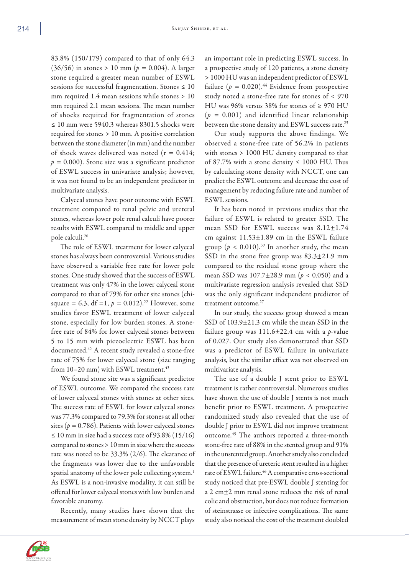83.8% (150/179) compared to that of only 64.3 (36/56) in stones > 10 mm (*p =* 0.004). A larger stone required a greater mean number of ESWL sessions for successful fragmentation. Stones  $\leq 10$ mm required 1.4 mean sessions while stones > 10 mm required 2.1 mean sessions. The mean number of shocks required for fragmentation of stones ≤ 10 mm were 5940.3 whereas 8301.5 shocks were required for stones > 10 mm. A positive correlation between the stone diameter (in mm) and the number of shock waves delivered was noted  $(r = 0.414;$  $p = 0.000$ ). Stone size was a significant predictor of ESWL success in univariate analysis; however, it was not found to be an independent predictor in multivariate analysis.

Calyceal stones have poor outcome with ESWL treatment compared to renal pelvic and ureteral stones, whereas lower pole renal calculi have poorer results with ESWL compared to middle and upper pole calculi.20

The role of ESWL treatment for lower calyceal stones has always been controversial. Various studies have observed a variable free rate for lower pole stones. One study showed that the success of ESWL treatment was only 47% in the lower calyceal stone compared to that of 79% for other site stones (chisquare = 6.3, df = 1,  $p = 0.012$ ).<sup>22</sup> However, some studies favor ESWL treatment of lower calyceal stone, especially for low burden stones. A stonefree rate of 84% for lower calyceal stones between 5 to 15 mm with piezoelectric ESWL has been documented.42 A recent study revealed a stone-free rate of 75% for lower calyceal stone (size ranging from 10-20 mm) with ESWL treatment.<sup>43</sup>

We found stone site was a significant predictor of ESWL outcome. We compared the success rate of lower calyceal stones with stones at other sites. The success rate of ESWL for lower calyceal stones was 77.3% compared to 79.3% for stones at all other sites ( $p = 0.786$ ). Patients with lower calyceal stones ≤ 10 mm in size had a success rate of 93.8% (15/16) compared to stones > 10 mm in size where the success rate was noted to be 33.3% (2/6). The clearance of the fragments was lower due to the unfavorable spatial anatomy of the lower pole collecting system.<sup>1</sup> As ESWL is a non-invasive modality, it can still be offered for lower calyceal stones with low burden and favorable anatomy.

Recently, many studies have shown that the measurement of mean stone density by NCCT plays an important role in predicting ESWL success. In a prospective study of 120 patients, a stone density > 1000 HU was an independent predictor of ESWL failure  $(p = 0.020)$ .<sup>44</sup> Evidence from prospective study noted a stone-free rate for stones of < 970 HU was 96% versus 38% for stones of ≥ 970 HU (*p =* 0.001) and identified linear relationship between the stone density and ESWL success rate.<sup>25</sup>

Our study supports the above findings. We observed a stone-free rate of 56.2% in patients with stones > 1000 HU density compared to that of 87.7% with a stone density  $\leq 1000$  HU. Thus by calculating stone density with NCCT, one can predict the ESWL outcome and decrease the cost of management by reducing failure rate and number of ESWL sessions.

It has been noted in previous studies that the failure of ESWL is related to greater SSD. The mean SSD for ESWL success was  $8.12 \pm 1.74$ cm against 11.53±1.89 cm in the ESWL failure group  $(p < 0.010).^{39}$  In another study, the mean SSD in the stone free group was 83.3±21.9 mm compared to the residual stone group where the mean SSD was 107.7±28.9 mm (*p* < 0.050) and a multivariate regression analysis revealed that SSD was the only significant independent predictor of treatment outcome.<sup>27</sup>

In our study, the success group showed a mean SSD of 103.9±21.3 cm while the mean SSD in the failure group was 111.6±22.4 cm with a *p*-value of 0.027. Our study also demonstrated that SSD was a predictor of ESWL failure in univariate analysis, but the similar effect was not observed on multivariate analysis.

The use of a double J stent prior to ESWL treatment is rather controversial. Numerous studies have shown the use of double I stents is not much benefit prior to ESWL treatment. A prospective randomized study also revealed that the use of double J prior to ESWL did not improve treatment outcome.45 The authors reported a three-month stone-free rate of 88% in the stented group and 91% in the unstented group. Another study also concluded that the presence of ureteric stent resulted in a higher rate of ESWL failure.<sup>46</sup> A comparative cross-sectional study noticed that pre-ESWL double J stenting for a 2 cm±2 mm renal stone reduces the risk of renal colic and obstruction, but does not reduce formation of steinstrasse or infective complications. The same study also noticed the cost of the treatment doubled

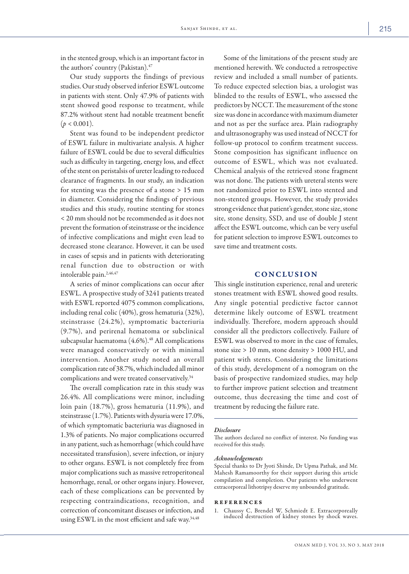in the stented group, which is an important factor in the authors' country (Pakistan).<sup>47</sup>

Our study supports the findings of previous studies. Our study observed inferior ESWL outcome in patients with stent. Only 47.9% of patients with stent showed good response to treatment, while 87.2% without stent had notable treatment benefit  $(p < 0.001)$ .

Stent was found to be independent predictor of ESWL failure in multivariate analysis. A higher failure of ESWL could be due to several difficulties such as difficulty in targeting, energy loss, and effect of the stent on peristalsis of ureter leading to reduced clearance of fragments. In our study, an indication for stenting was the presence of a stone > 15 mm in diameter. Considering the findings of previous studies and this study, routine stenting for stones < 20 mm should not be recommended as it does not prevent the formation of steinstrasse or the incidence of infective complications and might even lead to decreased stone clearance. However, it can be used in cases of sepsis and in patients with deteriorating renal function due to obstruction or with intolerable pain.2,46,47

A series of minor complications can occur after ESWL. A prospective study of 3241 patients treated with ESWL reported 4075 common complications, including renal colic (40%), gross hematuria (32%), steinstrasse (24.2%), symptomatic bacteriuria (9.7%), and perirenal hematoma or subclinical subcapsular haematoma  $(4.6\%)$ .<sup>48</sup> All complications were managed conservatively or with minimal intervention. Another study noted an overall complication rate of 38.7%, which included all minor complications and were treated conservatively.<sup>34</sup>

The overall complication rate in this study was 26.4%. All complications were minor, including loin pain (18.7%), gross hematuria (11.9%), and steinstrasse (1.7%). Patients with dysuria were 17.0%, of which symptomatic bacteriuria was diagnosed in 1.3% of patients. No major complications occurred in any patient, such as hemorrhage (which could have necessitated transfusion), severe infection, or injury to other organs. ESWL is not completely free from major complications such as massive retroperitoneal hemorrhage, renal, or other organs injury. However, each of these complications can be prevented by respecting contraindications, recognition, and correction of concomitant diseases or infection, and using ESWL in the most efficient and safe way. $34,48$ 

Some of the limitations of the present study are mentioned herewith. We conducted a retrospective review and included a small number of patients. To reduce expected selection bias, a urologist was blinded to the results of ESWL, who assessed the predictors by NCCT. The measurement of the stone size was done in accordance with maximum diameter and not as per the surface area. Plain radiography and ultrasonography was used instead of NCCT for follow-up protocol to confirm treatment success. Stone composition has significant influence on outcome of ESWL, which was not evaluated. Chemical analysis of the retrieved stone fragment was not done. The patients with ureteral stents were not randomized prior to ESWL into stented and non-stented groups. However, the study provides strong evidence that patient's gender, stone size, stone site, stone density, SSD, and use of double J stent affect the ESWL outcome, which can be very useful for patient selection to improve ESWL outcomes to save time and treatment costs.

# **CONCLUSION**

This single institution experience, renal and ureteric stones treatment with ESWL showed good results. Any single potential predictive factor cannot determine likely outcome of ESWL treatment individually. Therefore, modern approach should consider all the predictors collectively. Failure of ESWL was observed to more in the case of females, stone size > 10 mm, stone density > 1000 HU, and patient with stents. Considering the limitations of this study, development of a nomogram on the basis of prospective randomized studies, may help to further improve patient selection and treatment outcome, thus decreasing the time and cost of treatment by reducing the failure rate.

### *Disclosure*

The authors declared no conflict of interest. No funding was received for this study.

#### *Acknowledgements*

Special thanks to Dr Jyoti Shinde, Dr Upma Pathak, and Mr. Mahesh Ramamoorthy for their support during this article compilation and completion. Our patients who underwent extracorporeal lithotripsy deserve my unbounded gratitude.

#### references

1. Chaussy C, Brendel W, Schmiedt E. Extracorporeally induced destruction of kidney stones by shock waves.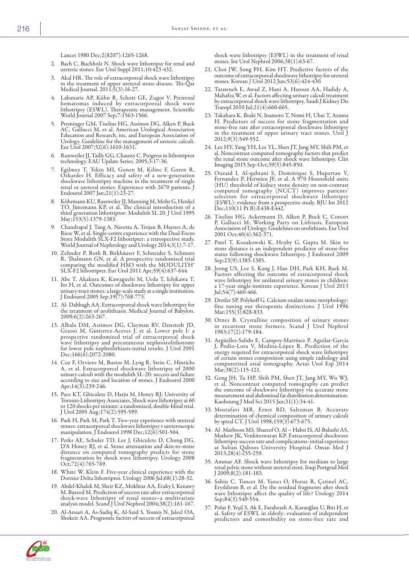Lancet 1980 Dec;2(8207):1265-1268.

- 2. Bach C, Buchholz N. Shock wave lithotripsy for renal and ureteric stones. Eur Urol Suppl 2011;10:423-432.
- 3. Akal HR. The role of extracorporeal shock wave lithotripsy in the treatment of upper ureteral stone disease. Thi-Qar Medical Journal. 2011;5(3):16-27.
- 4. Labanaris AP, Kühn R, Schott GE, Zugor V. Perirenal hematomas induced by extracorporeal shock wave lithotripsy (ESWL). Therapeutic management. Scientific World Journal 2007 Sep;7:1563-1566.
- 5. Preminger GM, Tiselius HG, Assimos DG, Alken P, Buck AC, Gallucci M, et al. American Urological Association Education and Research, inc. and European Association of Urology. Guideline for the management of ureteric calculi. Eur Urol 2007;52(6):1610-1631.
- 6. Rassweiler JJ, Tailly GG, Chaussy C. Progress in lithotriptor technology. EAU Update Series. 2005;3:17-36.
- 7. Egilmez T, Tekin MI, Gonen M, Kilinc F, Goren R, Ozkardes H. Efficacy and safety of a new-generation shockwave lithotripsy machine in the treatment of single renal or ureteral stones: Experience with 2670 patients. J Endourol 2007 Jan;21(1):23-27.
- 8. Köhrmann KU, Rassweiler JJ, Manning M, Mohr G, Henkel TO, Jünemann KP, et al. The clinical introduction of a third generation lithotriptor: Modulith SL 20. J Urol 1995 May;153(5):1379-1383.
- 9. Chandrapal J, Tang A, Navetta A, Trojan B, Haynes A, de Riese W, et al. Single-centre experience with the Dual-Focus Storz Modulith SLX-F2 lithotripter: a retrospective study. World Journal of Nephrology and Urology 2014;3(1):7-17.
- 10. Zehnder P, Roth B, Birkhäuser F, Schneider S, Schmutz R, Thalmann GN, et al. A prospective randomised trial comparing the modified HM3 with the MODULITH® SLX-F2 lithotripter. Eur Urol 2011 Apr;59(4):637-644.
- 11. Abe T, Akakura K, Kawaguchi M, Ueda T, Ichikawa T, Ito H, et al. Outcomes of shockwave lithotripsy for upper urinary-tract stones: a large-scale study at a single institution. J Endourol 2005 Sep;19(7):768-773.
- 12. Al- Dabbagh AA. Extracorporeal shock wave lithotripsy for the treatment of urolithiasis. Medical Journal of Babylon. 2009;6(2):263-267.
- 13. Albala DM, Assimos DG, Clayman RV, Denstedt JD, Grasso M, Gutierrez-Aceves J, et al. Lower pole I: a prospective randomized trial of extracorporeal shock wave lithotripsy and percutaneous nephrostolithotomy for lower pole nephrolithiasis-initial results. J Urol 2001 Dec;166(6):2072-2080.
- 14. Coz F, Orvieto M, Bustos M, Lyng R, Stein C, Hinrichs A, et al. Extracorporeal shockwave lithotripsy of 2000 urinary calculi with the modulith SL-20: success and failure according to size and location of stones. J Endourol 2000 Apr;14(3):239-246.
- 15. Pace KT, Ghiculete D, Harju M, Honey RJ; University of Toronto Lithotripsy Associates. Shock wave lithotripsy at 60 or 120 shocks per minute: a randomized, double-blind trial. J Urol 2005 Aug;174(2):595-599.
- 16. Park H, Park M, Park T. Two-year experience with ureteral stones: extracorporeal shockwave lithotripsy v ureteroscopic manipulation. J Endourol 1998 Dec;  $12(6)$ : 501-504.
- 17. Perks AE, Schuler TD, Lee J, Ghiculete D, Chung DG, D'A Honey RJ, et al. Stone attenuation and skin-to-stone distance on computed tomography predicts for stone fragmentation by shock wave lithotripsy. Urology 2008 Oct;72(4):765-769.
- 18. White W, Klein F. Five-year clinical experience with the Dornier Delta lithotriptor. Urology 2006 Jul;68(1):28-32.
- 19. Abdel-Khalek M, Sheir KZ, Mokhtar AA, Eraky I, Kenawy M, Bazeed M. Prediction of success rate after extracorporeal shock-wave lithotripsy of renal stones–a multivariate analysis model. Scand J Urol Nephrol 2004;38(2):161-167.
- 20. Al-Ansari A, As-Sadiq K, Al-Said S, Younis N, Jaleel OA, Shokeir AA. Prognostic factors of success of extracorporeal

shock wave lithotripsy (ESWL) in the treatment of renal stones. Int Urol Nephrol 2006;38(1):63-67.

- 21. Choi JW, Song PH, Kim HT. Predictive factors of the outcome of extracorporeal shockwave lithotripsy for ureteral stones. Korean J Urol 2012 Jun;53(6):424-430.
- 22. Tarawneh E, Awad Z, Hani A, Haroun AA, Hadidy A, Mahafza W, et al. Factors affecting urinary calculi treatment by extracorporeal shock wave lithotripsy. Saudi J Kidney Dis Transpl 2010 Jul;21(4):660-665.
- 23. Takahara K, Ibuki N, Inamoto T, Nomi H, Ubai T, Azuma H. Predictors of success for stone fragmentation and stone-free rate after extracorporeal shockwave lithotripsy in the treatment of upper urinary tract stones. Urol J 2012;9(3):549-552.
- 24. Lee HY, Yang YH, Lee YL, Shen JT, Jang MY, Shih PM, et al. Noncontrast computed tomography factors that predict the renal stone outcome after shock wave lithotripsy. Clin Imaging 2015 Sep-Oct;39(5):845-850.
- 25. Ouzaid I, Al-qahtani S, Dominique S, Hupertan V, Fernandez P, Hermieu JF, et al. A 970 Hounsfield units (HU) threshold of kidney stone density on non-contrast computed tomography (NCCT) improves patients' selection for extracorporeal shockwave lithotripsy (ESWL): evidence from a prospective study. BJU Int 2012 Dec;110(11 Pt B):E438-E442.
- 26. Tiselius HG, Ackermann D, Alken P, Buck C, Conort P, Gallucci M; Working Party on Lithiasis, European Association of Urology. Guidelines on urolithiasis. Eur Urol 2001 Oct;40(4):362-371.
- 27. Patel T, Kozakowski K, Hruby G, Gupta M. Skin to stone distance is an independent predictor of stone-free status following shockwave lithotripsy. J Endourol 2009 Sep;23(9):1383-1385.
- 28. Jeong US, Lee S, Kang J, Han DH, Park KH, Baek M. Factors affecting the outcome of extracorporeal shock wave lithotripsy for unilateral urinary stones in children: a 17-year single-institute experience. Korean J Urol 2013 Jul;54(7):460-466.
- 29. Dretler SP, Polykoff G. Calcium oxalate stone morphology: fine tuning our therapeutic distinctions. J Urol 1996 Mar;155(3):828-833.
- 30. Otnes B. Crystalline composition of urinary stones in recurrent stone formers. Scand J Urol Nephrol 1983;17(2):179-184.
- 31. Argüelles-Salido E, Campoy-Martínez P, Aguilar-García J, Podio-Lora V, Medina-López R. Prediction of the energy required for extracorporeal shock wave lithotripsy of certain stones composition using simple radiology and computerized axial tomography. Actas Urol Esp 2014 Mar;38(2):115-121.
- 32. Geng JH, Tu HP, Shih PM, Shen JT, Jang MY, Wu WJ, et al. Noncontrast computed tomography can predict the outcome of shockwave lithotripsy via accurate stone measurement and abdominal fat distribution determination. Kaohsiung J Med Sci 2015 Jan;31(1):34-41.
- 33. Mostafavi MR , Ernst RD, Saltzman B. Accurate determination of chemical composition of urinary calculi by spiral CT. J Urol 1998;159(3):673-675.
- 34. Al- Marhoon MS. Shareef O, Al Habsi IS, Al-Balushi AS, Mathew JK, Venkiteswaran KP. Extracorporeal shockwave lithotripsy success rate and complications: initial experience at Sultan Qaboos University Hospital. Oman Med J 2013;28(4):255-259.
- 35. Ammar AF. Shock wave lithotripsy for medium to large renal pelvic stone without ureteral stent. Iraqi Postgrad Med J 2009;8(2):181-183.
- 36. Sahin C, Tuncer M, Yazıcı O, Horuz R, Çetinel AC, Eryıldırım B, et al. Do the residual fragments after shock wave lithotripsy affect the quality of life? Urology 2014 Sep;84(3):549-554.
- 37. Polat F, Yeşil S, Ak E, Farahvash A, Karaoğlan U, Biri H, et al. Safety of ESWL in elderly: evaluation of independent predictors and comorbidity on stone-free rate and